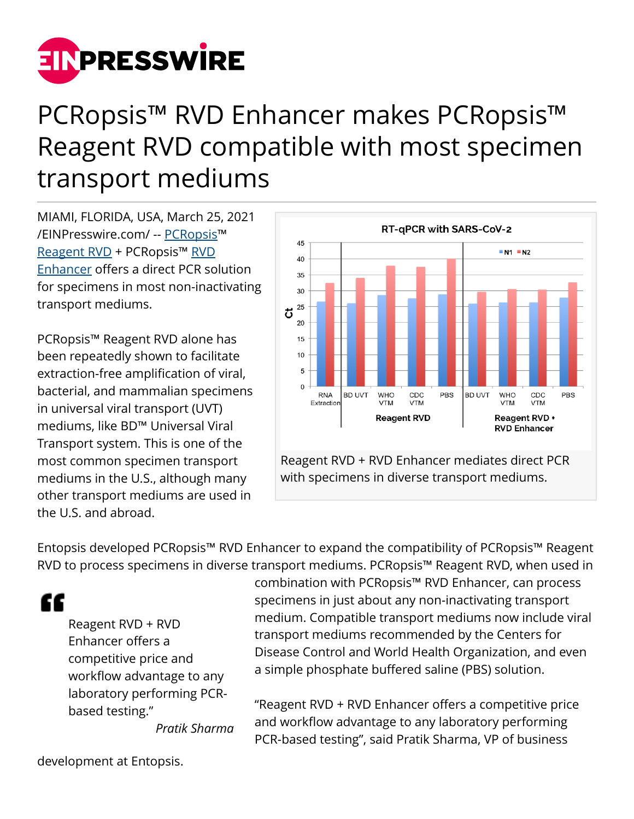

## PCRopsis™ RVD Enhancer makes PCRopsis™ Reagent RVD compatible with most specimen transport mediums

MIAMI, FLORIDA, USA, March 25, 2021 [/EINPresswire.com/](http://www.einpresswire.com) -- [PCRopsis](http://www.PCRopsis.com)™ [Reagent RVD](https://www.pcropsis.com/reagentrvd.html) + PCRopsis™ [RVD](https://www.pcropsis.com/rvdenhancer.html) [Enhancer](https://www.pcropsis.com/rvdenhancer.html) offers a direct PCR solution for specimens in most non-inactivating transport mediums.

PCRopsis™ Reagent RVD alone has been repeatedly shown to facilitate extraction-free amplification of viral, bacterial, and mammalian specimens in universal viral transport (UVT) mediums, like BD™ Universal Viral Transport system. This is one of the most common specimen transport mediums in the U.S., although many other transport mediums are used in the U.S. and abroad.



Reagent RVD + RVD Enhancer mediates direct PCR with specimens in diverse transport mediums.

Entopsis developed PCRopsis™ RVD Enhancer to expand the compatibility of PCRopsis™ Reagent RVD to process specimens in diverse transport mediums. PCRopsis™ Reagent RVD, when used in

"

Reagent RVD + RVD Enhancer offers a competitive price and workflow advantage to any laboratory performing PCRbased testing."

combination with PCRopsis™ RVD Enhancer, can process specimens in just about any non-inactivating transport medium. Compatible transport mediums now include viral transport mediums recommended by the Centers for Disease Control and World Health Organization, and even a simple phosphate buffered saline (PBS) solution.

"Reagent RVD + RVD Enhancer offers a competitive price and workflow advantage to any laboratory performing PCR-based testing", said Pratik Sharma, VP of business

*Pratik Sharma*

development at Entopsis.